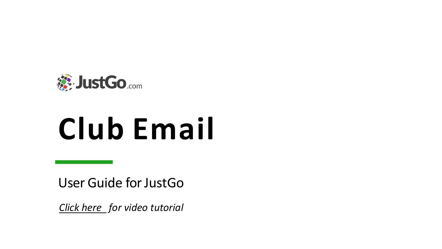

# **Club Email**

User Guide for JustGo

*[Click here](https://www.youtube.com/watch?v=h647ms7RElw) for video tutorial*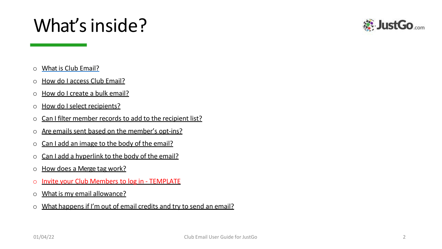#### What's inside?

- o What is Club Email?
- o How do I access Club Email?
- o How do I create a bulk email?
- o How do I select recipients?
- o Can I filter member records to add to the recipient list?
- $\circ$  Are emails sent based on the member's opt-ins?
- o Can I add an image to the body of the email?
- o Can I add a hyperlink to the body of the email?
- o How does a Merge tag work?
- o Invite your Club Members to log in TEMPLATE
- o What is my email allowance?
- o What happens if I'm out of email credits and try to send an email?

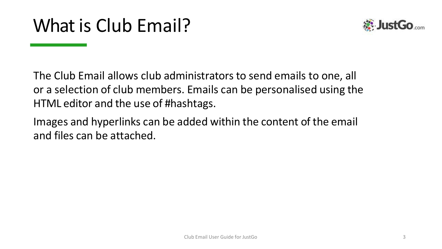

The Club Email allows club administrators to send emails to one, all or a selection of club members. Emails can be personalised using the HTML editor and the use of #hashtags.

Images and hyperlinks can be added within the content of the email and files can be attached.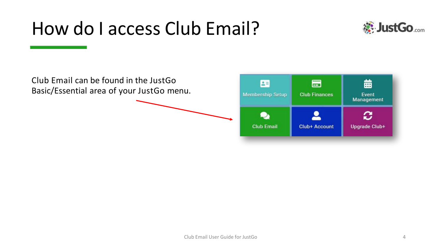#### How do I access Club Email?



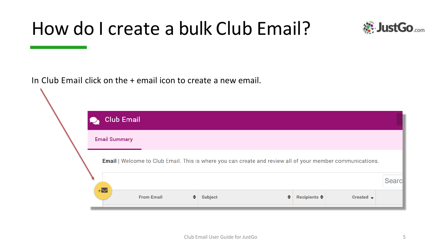#### How do I create a bulk Club Email?



In Club Email click on the + email icon to create a new email.

| <b>Club Email</b>                                                                                                |                   |    |                     |                         |                       |        |
|------------------------------------------------------------------------------------------------------------------|-------------------|----|---------------------|-------------------------|-----------------------|--------|
| <b>Email Summary</b>                                                                                             |                   |    |                     |                         |                       |        |
| <b>Email</b>   Welcome to Club Email. This is where you can create and review all of your member communications. |                   |    |                     |                         |                       |        |
| $+\nabla$                                                                                                        |                   |    |                     |                         |                       | Searcl |
|                                                                                                                  | <b>From Email</b> | ۰. | ٠<br><b>Subject</b> | Recipients $\triangleq$ | Created $\rightarrow$ |        |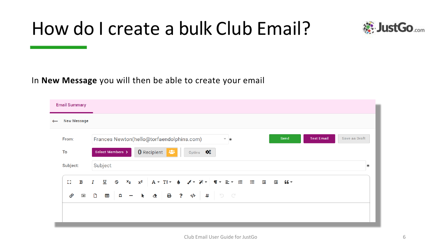#### How do I create a bulk Club Email?



#### In **New Message** you will then be able to create your email

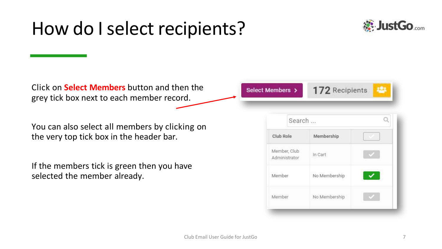#### How do Iselect recipients?



Click on **Select Members** button and then the grey tick box next to each member record.

You can also select all members by clicking on the very top tick box in the header bar.

If the members tick is green then you have selected the member already.

172 Recipients Select Members >

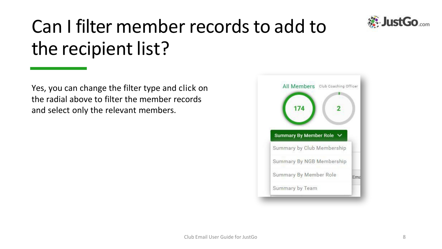

### Can I filter member recordsto add to the recipient list?

Yes, you can change the filter type and click on the radial above to filter the member records and select only the relevant members.

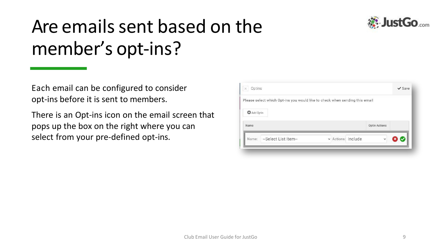

### Are emails sent based on the member's opt-ins?

Each email can be configured to consider opt-ins before it is sent to members.

There is an Opt-ins icon on the email screen that pops up the box on the right where you can select from your pre-defined opt-ins.

| Please select which Opt-ins you would like to check when sending this email |                    |                      |  |
|-----------------------------------------------------------------------------|--------------------|----------------------|--|
| Add Optin                                                                   |                    |                      |  |
| <b>Name</b>                                                                 |                    | <b>Optin Actions</b> |  |
|                                                                             |                    |                      |  |
| --Select List Item--<br>Name:                                               | v Actions: Include |                      |  |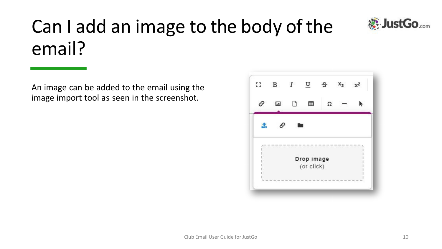

## Can I add an image to the body of the email?

An image can be added to the email using the image import tool as seen in the screenshot.

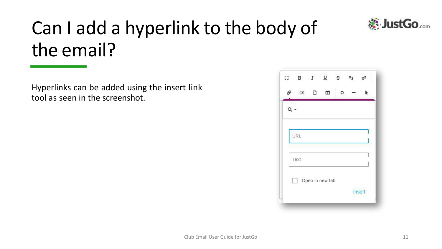

## Can I add a hyperlink to the body of the email?

Hyperlinks can be added using the insert link tool as seen in the screenshot.

| 53    |                                                                         |        |   | B $I$ $\sqcup$ $\oplus$ $x_2$ $x^2$ |        |
|-------|-------------------------------------------------------------------------|--------|---|-------------------------------------|--------|
| ଙ     | $\boxed{\underline{\underline{\bullet}}\underline{\underline{\bullet}}$ | $\Box$ | Œ | Ω                                   |        |
| $Q -$ |                                                                         |        |   |                                     |        |
|       | <b>URL</b>                                                              |        |   |                                     |        |
|       | Text                                                                    |        |   |                                     |        |
|       | $\Box$ Open in new tab                                                  |        |   |                                     |        |
|       |                                                                         |        |   |                                     | Insert |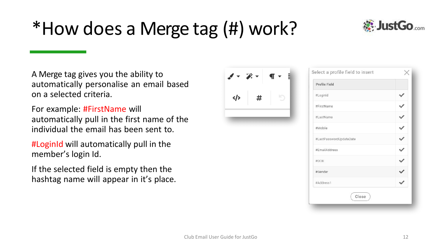#### \*How does a Merge tag (#) work?



A Merge tag gives you the ability to automatically personalise an email based on a selected criteria.

For example: #FirstName will automatically pull in the first name of the individual the email has been sent to.

#LoginId will automatically pull in the member's login Id.

If the selected field is empty then the hashtag name will appear in it's place.

| $\mathscr{I} = \mathscr{L} -$<br>$\P$ $\sim$ $\frac{1}{2}$ | Select a pr   |  |  |
|------------------------------------------------------------|---------------|--|--|
|                                                            | Profile Field |  |  |
| r<br>#<br>$\langle \rangle$                                | #LoginId      |  |  |
|                                                            | #FirstName    |  |  |
|                                                            | #LastName     |  |  |
|                                                            | #Mobile       |  |  |
|                                                            | #LastPasswo   |  |  |
|                                                            | #EmailAddre   |  |  |
|                                                            | #DOB          |  |  |
|                                                            | #Gender       |  |  |
|                                                            | #Address1     |  |  |
|                                                            |               |  |  |

| Profile Field           |  |
|-------------------------|--|
| #LoginId                |  |
| #FirstName              |  |
| #LastName               |  |
| #Mobile                 |  |
| #LastPasswordUpdateDate |  |
| #EmailAddress           |  |
| #DOB                    |  |
| #Gender                 |  |
| #Address1               |  |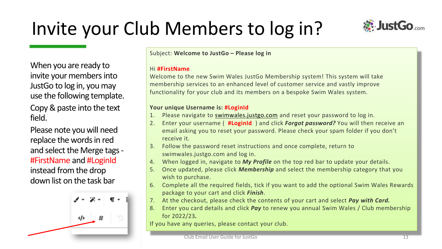## Invite your Club Members to log in?



When you are ready to invite your members into JustGo to log in, you may use the following template. Copy & paste into the text field.

Please note you will need replace the words in red and select the Merge tags - #FirstName and #LoginId instead from the drop down list on the task bar



Subject: **Welcome to JustGo – Please log in**

#### Hi **#FirstName**

Welcome to the new Swim Wales JustGo Membership system! This system will take membership services to an enhanced level of customer service and vastly improve functionality for your club and its members on a bespoke Swim Wales system.

#### **Your unique Username is: #LoginId**

- 1. Please navigate to [swimwales.justgo.com](http://swimwales.justgo.com/) and reset your password to log in.
- 2. Enter your username ( **#LoginId** ) and click *Forgot password?* You will then receive an email asking you to reset your password. Please check your spam folder if you don't receive it.
- 3. Follow the password reset instructions and once complete, return to swimwales.justgo.com and log in.
- 4. When logged in, navigate to *My Profile* on the top red bar to update your details.
- 5. Once updated, please click *Membership* and select the membership category that you wish to purchase.
- 6. Complete all the required fields, tick if you want to add the optional Swim Wales Rewards package to your cart and click *Finish*.
- 7. At the checkout, please check the contents of your cart and select *Pay with Card.*
- 8. Enter you card details and click *Pay* to renew you annual Swim Wales / Club membership for 2022/23*.*

If you have any queries, please contact your club.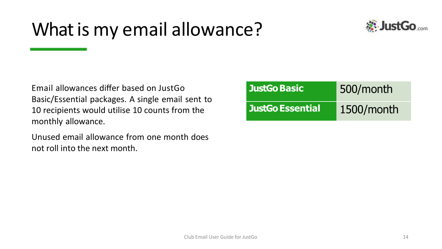### What is my email allowance?



Email allowances differ based on JustGo Basic/Essential packages. A single email sent to 10 recipients would utilise 10 counts from the monthly allowance.

Unused email allowance from one month does not roll into the next month.

| JustGo Basic            | 500/month  |
|-------------------------|------------|
| <b>JustGo Essential</b> | 1500/month |